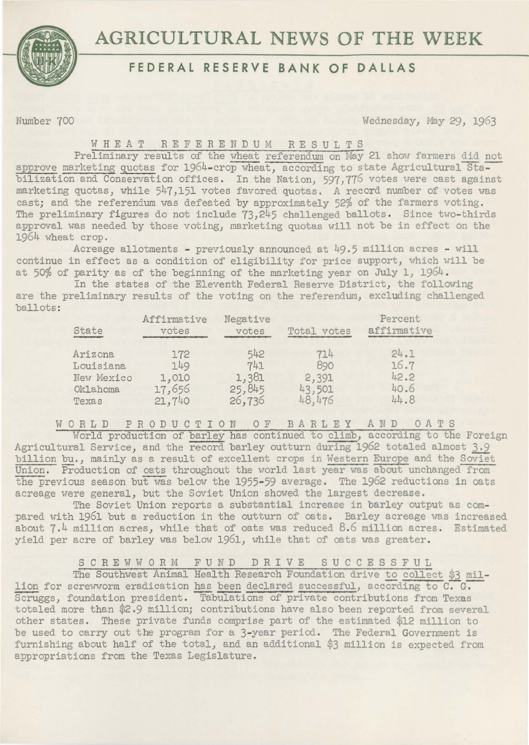

# **AGRICULTURAL NEWS OF THE WEEK**

## **FEDERAL RESERVE BANK OF DALLAS**

Number 700 Wednesday, May 29, 1963

### WHEAT REFERENDUM RESULTS

Preliminary results of the wheat referendum on May 21 show farmers did not approve marketing quotas for 1964-crop wheat, according to state Agricultural Stabilization and Conservation offices. In the Nation, 597,776 votes were cast against marketing quotas, while 547,151 votes favored quotas. A record number of votes was cast; and the referendum was defeated by approximately 52% of the farmers voting. The preliminary figures do not include 73,245 challenged ballots. Since two-thirds approval was needed by those voting, marketing quotas will not be in effect on the 1964 wheat crop.

Acreage allotments - previously announced at 49.5 million acres - will continue in effect as a condition of eligibility for price support, which will be at 50% of parity as of the beginning of the marketing year on July 1,  $1964$ .

In the states of the Eleventh Federal Reserve District, the following are the preliminary results of the voting on the referendum, excluding challenged ballots:

| State      | Affirmative<br>votes | Negative<br>votes | Total votes | Percent<br>affirmative |
|------------|----------------------|-------------------|-------------|------------------------|
| Arizona    | 172                  | 542               | 714         | 24.1                   |
| Louisiana  | 149                  | 741               | 890         | 16.7                   |
| New Mexico | 1,010                | 1,381             | 2,391       | 42.2                   |
| Oklahoma   | 17,656               | 25,845            | 43,501      | 40.6                   |
| Texas      | 21,740               | 26,736            | 48,476      | 44.8                   |

WORLD PRODUCTION OF BARLEY AND OATS

World production of barley has continued to climb, according to the Foreign Agricultural Service, and the record barley outturn during 1962 totaled almost 3.9 billion bu., mainly as a result of excellent crops in Western Europe and the Soviet Union. Production of oats throughout the world last year was about unchanged from the previous season but was below the 1955-59 average. The 1962 reductions in oats acreage were general, but the Soviet Union showed the largest decrease.

The Soviet Union reports a substantial increase in barley output as compared with 1961 but a reduction in the outturn of oats. Barley acreage was increased about 7.4 million acres, while that of oats was reduced 8.6 million acres. Estimated yield per acre of barley was below 1961, while that of oats was greater.

## SCREWWORM FUND DRIVE S U C C E S S F U L

The Southwest Animal Health Research Foundation drive to collect \$3 million for screwworm eradication has been declared successful, according to C. G. Scruggs, foundation president. Tabulations of private contributions from Texas totaled more than \$2.9 million; contributions have also been reported from several other states. These private funds comprise part of the estimated \$12 million to be used to carry out the program for a 3-year period. The Federal Government is furnishing about half of the total, and an additional \$3 million is expected from appropriations from the Texas Legislature.